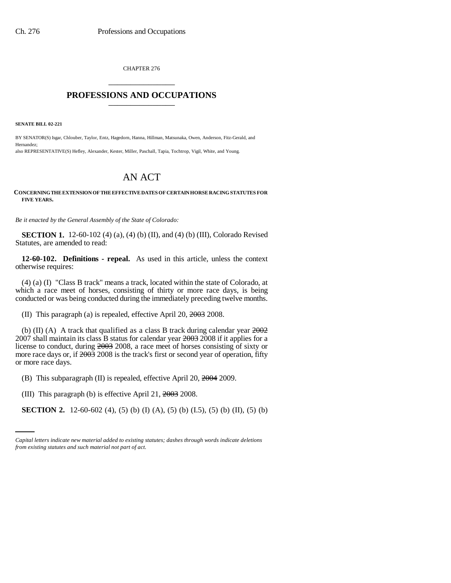CHAPTER 276 \_\_\_\_\_\_\_\_\_\_\_\_\_\_\_

## **PROFESSIONS AND OCCUPATIONS** \_\_\_\_\_\_\_\_\_\_\_\_\_\_\_

**SENATE BILL 02-221**

BY SENATOR(S) Isgar, Chlouber, Taylor, Entz, Hagedorn, Hanna, Hillman, Matsunaka, Owen, Anderson, Fitz-Gerald, and Hernandez; also REPRESENTATIVE(S) Hefley, Alexander, Kester, Miller, Paschall, Tapia, Tochtrop, Vigil, White, and Young.

## AN ACT

## **CONCERNING THE EXTENSION OF THE EFFECTIVE DATES OF CERTAIN HORSE RACING STATUTES FOR FIVE YEARS.**

*Be it enacted by the General Assembly of the State of Colorado:*

**SECTION 1.** 12-60-102 (4) (a), (4) (b) (II), and (4) (b) (III), Colorado Revised Statutes, are amended to read:

**12-60-102. Definitions - repeal.** As used in this article, unless the context otherwise requires:

(4) (a) (I) "Class B track" means a track, located within the state of Colorado, at which a race meet of horses, consisting of thirty or more race days, is being conducted or was being conducted during the immediately preceding twelve months.

(II) This paragraph (a) is repealed, effective April 20, 2003 2008.

(b) (II) (A) A track that qualified as a class B track during calendar year  $2002$ 2007 shall maintain its class B status for calendar year 2003 2008 if it applies for a license to conduct, during 2003 2008, a race meet of horses consisting of sixty or more race days or, if  $2003$  2008 is the track's first or second year of operation, fifty or more race days.

(B) This subparagraph (II) is repealed, effective April 20,  $2004$  2009.

(III) This paragraph (b) is effective April 21, 2003 2008.

**SECTION 2.** 12-60-602 (4), (5) (b) (I) (A), (5) (b) (I.5), (5) (b) (II), (5) (b)

*Capital letters indicate new material added to existing statutes; dashes through words indicate deletions from existing statutes and such material not part of act.*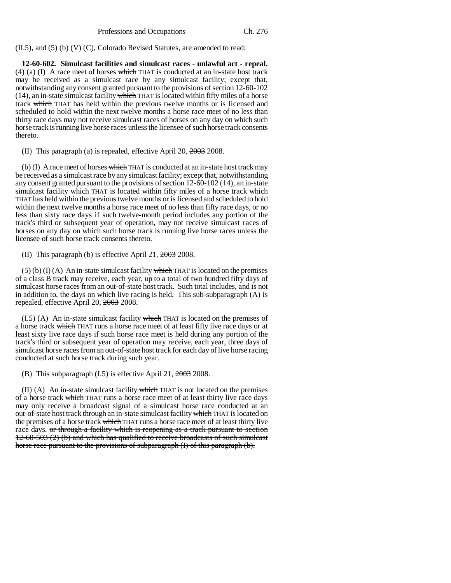(II.5), and (5) (b) (V) (C), Colorado Revised Statutes, are amended to read:

**12-60-602. Simulcast facilities and simulcast races - unlawful act - repeal.** (4) (a) (I) A race meet of horses which THAT is conducted at an in-state host track may be received as a simulcast race by any simulcast facility; except that, notwithstanding any consent granted pursuant to the provisions of section 12-60-102  $(14)$ , an in-state simulcast facility which THAT is located within fifty miles of a horse track which THAT has held within the previous twelve months or is licensed and scheduled to hold within the next twelve months a horse race meet of no less than thirty race days may not receive simulcast races of horses on any day on which such horse track is running live horse races unless the licensee of such horse track consents thereto.

(II) This paragraph (a) is repealed, effective April 20, 2003 2008.

(b) (I) A race meet of horses which THAT is conducted at an in-state host track may be received as a simulcast race by any simulcast facility; except that, notwithstanding any consent granted pursuant to the provisions of section 12-60-102 (14), an in-state simulcast facility which THAT is located within fifty miles of a horse track which THAT has held within the previous twelve months or is licensed and scheduled to hold within the next twelve months a horse race meet of no less than fifty race days, or no less than sixty race days if such twelve-month period includes any portion of the track's third or subsequent year of operation, may not receive simulcast races of horses on any day on which such horse track is running live horse races unless the licensee of such horse track consents thereto.

(II) This paragraph (b) is effective April 21, 2003 2008.

 $(5)$  (b) (I) (A) An in-state simulcast facility which THAT is located on the premises of a class B track may receive, each year, up to a total of two hundred fifty days of simulcast horse races from an out-of-state host track. Such total includes, and is not in addition to, the days on which live racing is held. This sub-subparagraph (A) is repealed, effective April 20, 2003 2008.

 $(1.5)$  (A) An in-state simulcast facility which THAT is located on the premises of a horse track which THAT runs a horse race meet of at least fifty live race days or at least sixty live race days if such horse race meet is held during any portion of the track's third or subsequent year of operation may receive, each year, three days of simulcast horse races from an out-of-state host track for each day of live horse racing conducted at such horse track during such year.

(B) This subparagraph (I.5) is effective April 21, 2003 2008.

 $(II)$  (A) An in-state simulcast facility which THAT is not located on the premises of a horse track which THAT runs a horse race meet of at least thirty live race days may only receive a broadcast signal of a simulcast horse race conducted at an out-of-state host track through an in-state simulcast facility which THAT is located on the premises of a horse track which THAT runs a horse race meet of at least thirty live race days. or through a facility which is reopening as a track pursuant to section 12-60-503 (2) (b) and which has qualified to receive broadcasts of such simulcast horse race pursuant to the provisions of subparagraph (I) of this paragraph (b).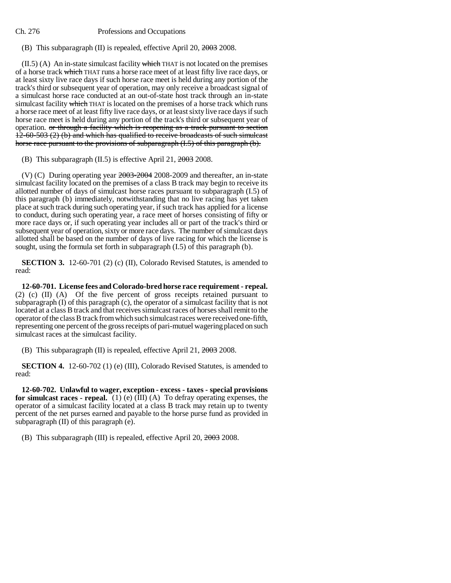Ch. 276 Professions and Occupations

(B) This subparagraph (II) is repealed, effective April 20, 2003 2008.

 $(II.5)$  (A) An in-state simulcast facility which THAT is not located on the premises of a horse track which THAT runs a horse race meet of at least fifty live race days, or at least sixty live race days if such horse race meet is held during any portion of the track's third or subsequent year of operation, may only receive a broadcast signal of a simulcast horse race conducted at an out-of-state host track through an in-state simulcast facility which THAT is located on the premises of a horse track which runs a horse race meet of at least fifty live race days, or at least sixty live race days if such horse race meet is held during any portion of the track's third or subsequent year of operation. or through a facility which is reopening as a track pursuant to section 12-60-503 (2) (b) and which has qualified to receive broadcasts of such simulcast horse race pursuant to the provisions of subparagraph  $(L,5)$  of this paragraph  $(b)$ .

(B) This subparagraph (II.5) is effective April 21, 2003 2008.

(V) (C) During operating year 2003-2004 2008-2009 and thereafter, an in-state simulcast facility located on the premises of a class B track may begin to receive its allotted number of days of simulcast horse races pursuant to subparagraph (I.5) of this paragraph (b) immediately, notwithstanding that no live racing has yet taken place at such track during such operating year, if such track has applied for a license to conduct, during such operating year, a race meet of horses consisting of fifty or more race days or, if such operating year includes all or part of the track's third or subsequent year of operation, sixty or more race days. The number of simulcast days allotted shall be based on the number of days of live racing for which the license is sought, using the formula set forth in subparagraph (I.5) of this paragraph (b).

**SECTION 3.** 12-60-701 (2) (c) (II), Colorado Revised Statutes, is amended to read:

**12-60-701. License fees and Colorado-bred horse race requirement - repeal.** (2) (c) (II) (A) Of the five percent of gross receipts retained pursuant to subparagraph (I) of this paragraph (c), the operator of a simulcast facility that is not located at a class B track and that receives simulcast races of horses shall remit to the operator of the class B track from which such simulcast races were received one-fifth, representing one percent of the gross receipts of pari-mutuel wagering placed on such simulcast races at the simulcast facility.

(B) This subparagraph (II) is repealed, effective April 21, 2003 2008.

**SECTION 4.** 12-60-702 (1) (e) (III), Colorado Revised Statutes, is amended to read:

**12-60-702. Unlawful to wager, exception - excess - taxes - special provisions for simulcast races - repeal.** (1) (e) (III) (A) To defray operating expenses, the operator of a simulcast facility located at a class B track may retain up to twenty percent of the net purses earned and payable to the horse purse fund as provided in subparagraph  $(II)$  of this paragraph  $(e)$ .

(B) This subparagraph (III) is repealed, effective April 20, 2003 2008.